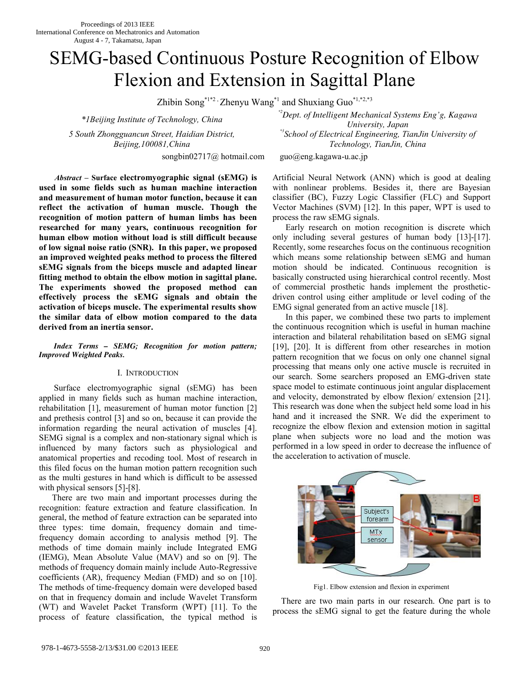# SEMG-based Continuous Posture Recognition of Elbow Flexion and Extension in Sagittal Plane

Zhibin Song<sup>\*1\*2</sup> , Zhenyu Wang<sup>\*1</sup> and Shuxiang Guo<sup>\*1,\*2,\*3</sup>

*\*1Beijing Institute of Technology, China* 

*5 South Zhongguancun Street, Haidian District, Beijing,100081,China* 

songbin02717@ hotmail.com guo@eng.kagawa-u.ac.jp

*\*2Dept. of Intelligent Mechanical Systems Eng'g, Kagawa University, Japan \*3School of Electrical Engineering, TianJin University of Technology, TianJin, China* 

*Abstract* **– Surface electromyographic signal (sEMG) is used in some fields such as human machine interaction and measurement of human motor function, because it can reflect the activation of human muscle. Though the recognition of motion pattern of human limbs has been researched for many years, continuous recognition for human elbow motion without load is still difficult because of low signal noise ratio (SNR). In this paper, we proposed an improved weighted peaks method to process the filtered sEMG signals from the biceps muscle and adapted linear fitting method to obtain the elbow motion in sagittal plane. The experiments showed the proposed method can effectively process the sEMG signals and obtain the activation of biceps muscle. The experimental results show the similar data of elbow motion compared to the data derived from an inertia sensor.**

*Index Terms – SEMG; Recognition for motion pattern; Improved Weighted Peaks.* 

# I. INTRODUCTION

 Surface electromyographic signal (sEMG) has been applied in many fields such as human machine interaction, rehabilitation [1], measurement of human motor function [2] and prethesis control [3] and so on, because it can provide the information regarding the neural activation of muscles [4]. SEMG signal is a complex and non-stationary signal which is influenced by many factors such as physiological and anatomical properties and recoding tool. Most of research in this filed focus on the human motion pattern recognition such as the multi gestures in hand which is difficult to be assessed with physical sensors [5]-[8].

There are two main and important processes during the recognition: feature extraction and feature classification. In general, the method of feature extraction can be separated into three types: time domain, frequency domain and timefrequency domain according to analysis method [9]. The methods of time domain mainly include Integrated EMG (IEMG), Mean Absolute Value (MAV) and so on [9]. The methods of frequency domain mainly include Auto-Regressive coefficients (AR), frequency Median (FMD) and so on [10]. The methods of time-frequency domain were developed based on that in frequency domain and include Wavelet Transform (WT) and Wavelet Packet Transform (WPT) [11]. To the process of feature classification, the typical method is

Artificial Neural Network (ANN) which is good at dealing with nonlinear problems. Besides it, there are Bayesian classifier (BC), Fuzzy Logic Classifier (FLC) and Support Vector Machines (SVM) [12]. In this paper, WPT is used to process the raw sEMG signals.

Early research on motion recognition is discrete which only including several gestures of human body [13]-[17]. Recently, some researches focus on the continuous recognition which means some relationship between sEMG and human motion should be indicated. Continuous recognition is basically constructed using hierarchical control recently. Most of commercial prosthetic hands implement the prostheticdriven control using either amplitude or level coding of the EMG signal generated from an active muscle [18].

In this paper, we combined these two parts to implement the continuous recognition which is useful in human machine interaction and bilateral rehabilitation based on sEMG signal [19], [20]. It is different from other researches in motion pattern recognition that we focus on only one channel signal processing that means only one active muscle is recruited in our search. Some searchers proposed an EMG-driven state space model to estimate continuous joint angular displacement and velocity, demonstrated by elbow flexion/ extension [21]. This research was done when the subject held some load in his hand and it increased the SNR. We did the experiment to recognize the elbow flexion and extension motion in sagittal plane when subjects wore no load and the motion was performed in a low speed in order to decrease the influence of the acceleration to activation of muscle.



Fig1. Elbow extension and flexion in experiment

There are two main parts in our research. One part is to process the sEMG signal to get the feature during the whole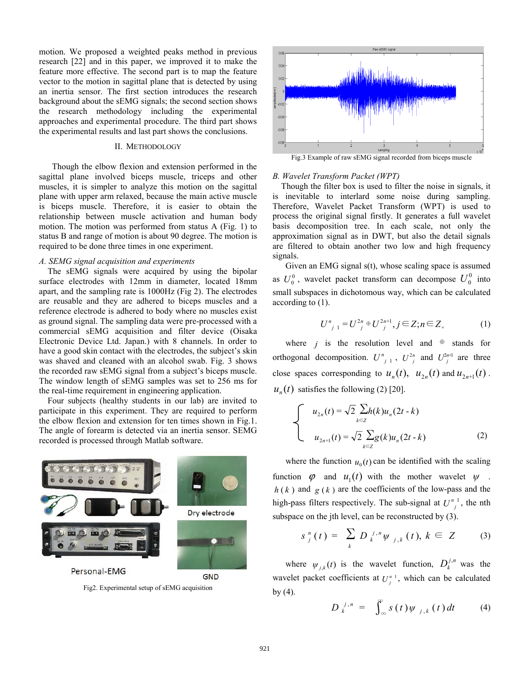motion. We proposed a weighted peaks method in previous research [22] and in this paper, we improved it to make the feature more effective. The second part is to map the feature vector to the motion in sagittal plane that is detected by using an inertia sensor. The first section introduces the research background about the sEMG signals; the second section shows the research methodology including the experimental approaches and experimental procedure. The third part shows the experimental results and last part shows the conclusions.

### II. METHODOLOGY

Though the elbow flexion and extension performed in the sagittal plane involved biceps muscle, triceps and other muscles, it is simpler to analyze this motion on the sagittal plane with upper arm relaxed, because the main active muscle is biceps muscle. Therefore, it is easier to obtain the relationship between muscle activation and human body motion. The motion was performed from status A (Fig. 1) to status B and range of motion is about 90 degree. The motion is required to be done three times in one experiment.

#### *A. SEMG signal acquisition and experiments*

The sEMG signals were acquired by using the bipolar surface electrodes with 12mm in diameter, located 18mm apart, and the sampling rate is 1000Hz (Fig 2). The electrodes are reusable and they are adhered to biceps muscles and a reference electrode is adhered to body where no muscles exist as ground signal. The sampling data were pre-processed with a commercial sEMG acquisition and filter device (Oisaka Electronic Device Ltd. Japan.) with 8 channels. In order to have a good skin contact with the electrodes, the subject's skin was shaved and cleaned with an alcohol swab. Fig. 3 shows the recorded raw sEMG signal from a subject's biceps muscle. The window length of sEMG samples was set to 256 ms for the real-time requirement in engineering application.

Four subjects (healthy students in our lab) are invited to participate in this experiment. They are required to perform the elbow flexion and extension for ten times shown in Fig.1. The angle of forearm is detected via an inertia sensor. SEMG recorded is processed through Matlab software.



Fig2. Experimental setup of sEMG acquisition



Fig.3 Example of raw sEMG signal recorded from biceps muscle

#### *B. Wavelet Transform Packet (WPT)*

Though the filter box is used to filter the noise in signals, it is inevitable to interlard some noise during sampling. Therefore, Wavelet Packet Transform (WPT) is used to process the original signal firstly. It generates a full wavelet basis decomposition tree. In each scale, not only the approximation signal as in DWT, but also the detail signals are filtered to obtain another two low and high frequency signals.

Given an EMG signal s(t), whose scaling space is assumed as  $U_0^0$ , wavelet packet transform can decompose  $U_0^0$  into small subspaces in dichotomous way, which can be calculated according to (1).

$$
U_{j-1}^n = U_{j}^{2n} \oplus U_{j}^{2n+1}, j \in \mathbb{Z}; n \in \mathbb{Z}_+ \tag{1}
$$

where *j* is the resolution level and  $oplus$  stands for orthogonal decomposition.  $U_{j+1}^n$ ,  $U_{j}^{2n}$  and  $U_{j}^{2n+1}$  are three close spaces corresponding to  $u_n(t)$ ,  $u_{2n}(t)$  and  $u_{2n+1}(t)$ .  $u_{n}(t)$  satisfies the following (2) [20].

$$
\begin{cases}\n u_{2n}(t) = \sqrt{2} \sum_{k \in \mathbb{Z}} h(k) u_n(2t - k) \\
u_{2n+1}(t) = \sqrt{2} \sum_{k \in \mathbb{Z}} g(k) u_n(2t - k)\n\end{cases}
$$
\n(2)

where the function  $u_0(t)$  can be identified with the scaling function  $\varphi$  and  $u_1(t)$  with the mother wavelet  $\psi$ .  $h(k)$  and  $g(k)$  are the coefficients of the low-pass and the high-pass filters respectively. The sub-signal at  $U_{i}^{n}$ , the nth subspace on the jth level, can be reconstructed by (3).

$$
s_{j}^{n}(t) = \sum_{k} D_{k}^{j,n} \psi_{j,k}(t), k \in Z \qquad (3)
$$

where  $\psi_{j,k}(t)$  is the wavelet function,  $D_k^{j,n}$  was the wavelet packet coefficients at  $U_i^{n}$ , which can be calculated by  $(4)$ .

$$
D_k^{\ j,n} = \int_{-\infty}^{\infty} s(t) \psi_{j,k}(t) dt \qquad (4)
$$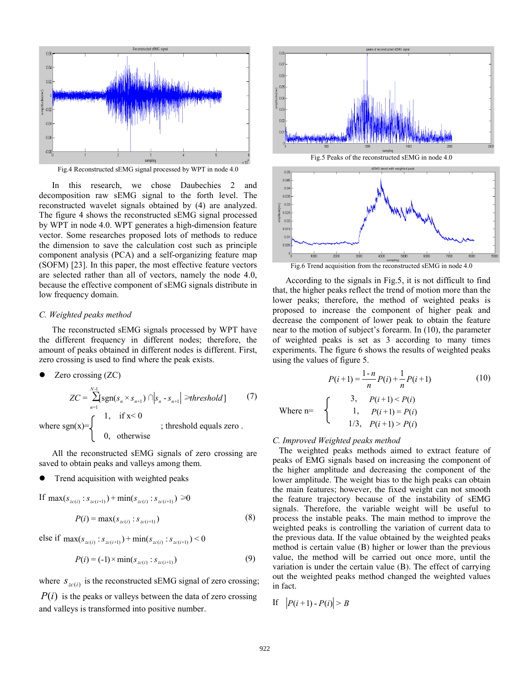

In this research, we chose Daubechies 2 and decomposition raw sEMG signal to the forth level. The reconstructed wavelet signals obtained by (4) are analyzed. The figure 4 shows the reconstructed sEMG signal processed by WPT in node 4.0. WPT generates a high-dimension feature vector. Some researches proposed lots of methods to reduce the dimension to save the calculation cost such as principle component analysis (PCA) and a self-organizing feature map (SOFM) [23]. In this paper, the most effective feature vectors are selected rather than all of vectors, namely the node 4.0, because the effective component of sEMG signals distribute in low frequency domain.

#### *C. Weighted peaks method*

The reconstructed sEMG signals processed by WPT have the different frequency in different nodes; therefore, the amount of peaks obtained in different nodes is different. First, zero crossing is used to find where the peak exists.

• Zero crossing 
$$
(ZC)
$$

$$
ZC = \sum_{n=1}^{N-1} \text{sgn}(s_n \times s_{n+1}) \cap |s_n - s_{n+1}| \geq \text{threshold}
$$
 (7)  
where sgn(x)=
$$
\begin{cases} 1, & \text{if } x < 0 \\ 0, & \text{otherwise} \end{cases}
$$
; threshold equals zero.

All the reconstructed sEMG signals of zero crossing are saved to obtain peaks and valleys among them.

Trend acquisition with weighted peaks

If 
$$
\max(s_{zc(i)} : s_{zc(i+1)}) + \min(s_{zc(i)} : s_{zc(i+1)}) \ge 0
$$
  

$$
P(i) = \max(s_{zc(i)} : s_{zc(i+1)})
$$
(8)

else if  $\max(s_{zc(i)} : s_{zc(i+1)}) + \min(s_{zc(i)} : s_{zc(i+1)})$  < 0

$$
P(i) = (-1) \times \min(s_{zc(i)} : s_{zc(i+1)})
$$
\n(9)

where  $S_{zc(i)}$  is the reconstructed sEMG signal of zero crossing;

 $P(i)$  is the peaks or valleys between the data of zero crossing and valleys is transformed into positive number.



According to the signals in Fig.5, it is not difficult to find that, the higher peaks reflect the trend of motion more than the lower peaks; therefore, the method of weighted peaks is proposed to increase the component of higher peak and decrease the component of lower peak to obtain the feature near to the motion of subject's forearm. In (10), the parameter of weighted peaks is set as 3 according to many times experiments. The figure 6 shows the results of weighted peaks using the values of figure 5.

$$
P(i+1) = \frac{1-n}{n}P(i) + \frac{1}{n}P(i+1)
$$
 (10)

 $\bigcap$  3,  $P(i+1) < P(i)$ Where  $n=$   $\uparrow$  1,  $P(i+1) = P(i)$  $1/3, P(i+1) > P(i)$ 

*C. Improved Weighted peaks method* 

 The weighted peaks methods aimed to extract feature of peaks of EMG signals based on increasing the component of the higher amplitude and decreasing the component of the lower amplitude. The weight bias to the high peaks can obtain the main features; however, the fixed weight can not smooth the feature trajectory because of the instability of sEMG signals. Therefore, the variable weight will be useful to process the instable peaks. The main method to improve the weighted peaks is controlling the variation of current data to the previous data. If the value obtained by the weighted peaks method is certain value (B) higher or lower than the previous value, the method will be carried out once more, until the variation is under the certain value (B). The effect of carrying out the weighted peaks method changed the weighted values in fact.

If 
$$
|P(i+1) - P(i)| > B
$$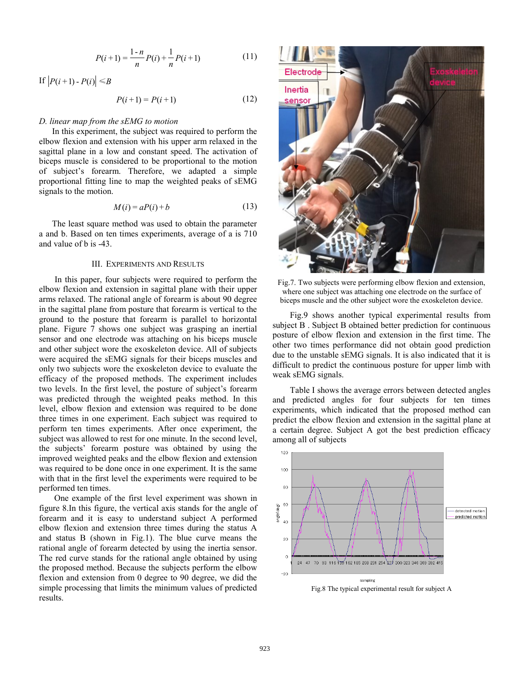$$
P(i+1) = \frac{1-n}{n}P(i) + \frac{1}{n}P(i+1)
$$
 (11)

If  $|P(i+1) - P(i)| \le B$ 

$$
P(i+1) = P(i+1)
$$
 (12)

# *D. linear map from the sEMG to motion*

 In this experiment, the subject was required to perform the elbow flexion and extension with his upper arm relaxed in the sagittal plane in a low and constant speed. The activation of biceps muscle is considered to be proportional to the motion of subject's forearm. Therefore, we adapted a simple proportional fitting line to map the weighted peaks of sEMG signals to the motion.

$$
M(i) = aP(i) + b \tag{13}
$$

The least square method was used to obtain the parameter a and b. Based on ten times experiments, average of a is 710 and value of b is -43.

#### III. EXPERIMENTS AND RESULTS

 In this paper, four subjects were required to perform the elbow flexion and extension in sagittal plane with their upper arms relaxed. The rational angle of forearm is about 90 degree in the sagittal plane from posture that forearm is vertical to the ground to the posture that forearm is parallel to horizontal plane. Figure 7 shows one subject was grasping an inertial sensor and one electrode was attaching on his biceps muscle and other subject wore the exoskeleton device. All of subjects were acquired the sEMG signals for their biceps muscles and only two subjects wore the exoskeleton device to evaluate the efficacy of the proposed methods. The experiment includes two levels. In the first level, the posture of subject's forearm was predicted through the weighted peaks method. In this level, elbow flexion and extension was required to be done three times in one experiment. Each subject was required to perform ten times experiments. After once experiment, the subject was allowed to rest for one minute. In the second level, the subjects' forearm posture was obtained by using the improved weighted peaks and the elbow flexion and extension was required to be done once in one experiment. It is the same with that in the first level the experiments were required to be performed ten times.

 One example of the first level experiment was shown in figure 8.In this figure, the vertical axis stands for the angle of forearm and it is easy to understand subject A performed elbow flexion and extension three times during the status A and status B (shown in Fig.1). The blue curve means the rational angle of forearm detected by using the inertia sensor. The red curve stands for the rational angle obtained by using the proposed method. Because the subjects perform the elbow flexion and extension from 0 degree to 90 degree, we did the simple processing that limits the minimum values of predicted results.



Fig.7. Two subjects were performing elbow flexion and extension, where one subject was attaching one electrode on the surface of biceps muscle and the other subject wore the exoskeleton device.

Fig.9 shows another typical experimental results from subject B . Subject B obtained better prediction for continuous posture of elbow flexion and extension in the first time. The other two times performance did not obtain good prediction due to the unstable sEMG signals. It is also indicated that it is difficult to predict the continuous posture for upper limb with weak sEMG signals.

Table I shows the average errors between detected angles and predicted angles for four subjects for ten times experiments, which indicated that the proposed method can predict the elbow flexion and extension in the sagittal plane at a certain degree. Subject A got the best prediction efficacy among all of subjects



Fig.8 The typical experimental result for subject A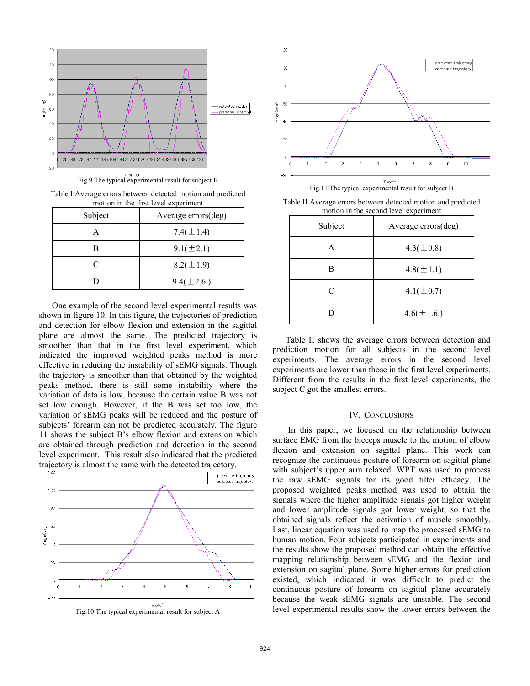

Table.I Average errors between detected motion and predicted motion in the first level experiment

| Subject   | Average errors(deg) |
|-----------|---------------------|
|           | 7.4( $\pm$ 1.4)     |
|           | $9.1(\pm 2.1)$      |
| $\subset$ | $8.2(\pm 1.9)$      |
|           | $9.4(\pm 2.6.)$     |

One example of the second level experimental results was shown in figure 10. In this figure, the trajectories of prediction and detection for elbow flexion and extension in the sagittal plane are almost the same. The predicted trajectory is smoother than that in the first level experiment, which indicated the improved weighted peaks method is more effective in reducing the instability of sEMG signals. Though the trajectory is smoother than that obtained by the weighted peaks method, there is still some instability where the variation of data is low, because the certain value B was not set low enough. However, if the B was set too low, the variation of sEMG peaks will be reduced and the posture of subjects' forearm can not be predicted accurately. The figure 11 shows the subject B's elbow flexion and extension which are obtained through prediction and detection in the second level experiment. This result also indicated that the predicted trajectory is almost the same with the detected trajectory.





Fig.11 The typical experimental result for subject B

Table.II Average errors between detected motion and predicted motion in the second level experiment

| Subject | Average errors(deg) |
|---------|---------------------|
| А       | $4.3(\pm 0.8)$      |
| в       | $4.8(\pm 1.1)$      |
| C       | $4.1(\pm 0.7)$      |
|         | $4.6(\pm 1.6.)$     |

Table II shows the average errors between detection and prediction motion for all subjects in the second level experiments. The average errors in the second level experiments are lower than those in the first level experiments. Different from the results in the first level experiments, the subject C got the smallest errors.

# IV. CONCLUSIONS

 In this paper, we focused on the relationship between surface EMG from the bieceps muscle to the motion of elbow flexion and extension on sagittal plane. This work can recognize the continuous posture of forearm on sagittal plane with subject's upper arm relaxed. WPT was used to process the raw sEMG signals for its good filter efficacy. The proposed weighted peaks method was used to obtain the signals where the higher amplitude signals got higher weight and lower amplitude signals got lower weight, so that the obtained signals reflect the activation of muscle smoothly. Last, linear equation was used to map the processed sEMG to human motion. Four subjects participated in experiments and the results show the proposed method can obtain the effective mapping relationship between sEMG and the flexion and extension on sagittal plane. Some higher errors for prediction existed, which indicated it was difficult to predict the continuous posture of forearm on sagittal plane accurately because the weak sEMG signals are unstable. The second level experimental results show the lower errors between the